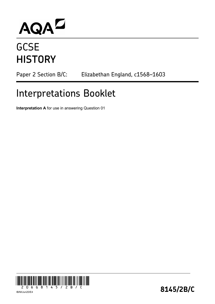# AQA<sup>D</sup>

## **GCSE HISTORY**

Paper 2 Section B/C: Elizabethan England, c1568-1603

## Interpretations Booklet

**Interpretation A** for use in answering Question 01